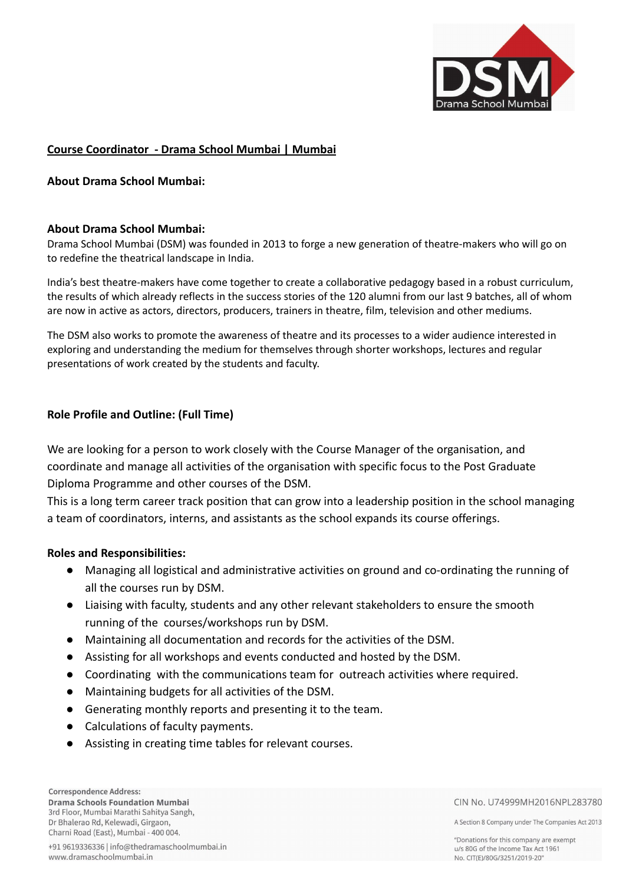

### **Course Coordinator - Drama School Mumbai | Mumbai**

#### **About Drama School Mumbai:**

#### **About Drama School Mumbai:**

Drama School Mumbai (DSM) was founded in 2013 to forge a new generation of theatre-makers who will go on to redefine the theatrical landscape in India.

India's best theatre-makers have come together to create a collaborative pedagogy based in a robust curriculum, the results of which already reflects in the success stories of the 120 alumni from our last 9 batches, all of whom are now in active as actors, directors, producers, trainers in theatre, film, television and other mediums.

The DSM also works to promote the awareness of theatre and its processes to a wider audience interested in exploring and understanding the medium for themselves through shorter workshops, lectures and regular presentations of work created by the students and faculty.

#### **Role Profile and Outline: (Full Time)**

We are looking for a person to work closely with the Course Manager of the organisation, and coordinate and manage all activities of the organisation with specific focus to the Post Graduate Diploma Programme and other courses of the DSM.

This is a long term career track position that can grow into a leadership position in the school managing a team of coordinators, interns, and assistants as the school expands its course offerings.

#### **Roles and Responsibilities:**

- Managing all logistical and administrative activities on ground and co-ordinating the running of all the courses run by DSM.
- Liaising with faculty, students and any other relevant stakeholders to ensure the smooth running of the courses/workshops run by DSM.
- Maintaining all documentation and records for the activities of the DSM.
- Assisting for all workshops and events conducted and hosted by the DSM.
- Coordinating with the communications team for outreach activities where required.
- Maintaining budgets for all activities of the DSM.
- Generating monthly reports and presenting it to the team.
- Calculations of faculty payments.
- Assisting in creating time tables for relevant courses.

CIN No. U74999MH2016NPL283780

A Section 8 Company under The Companies Act 2013

"Donations for this company are exempt u/s 80G of the Income Tax Act 1961 No. CIT(E)/80G/3251/2019-20"